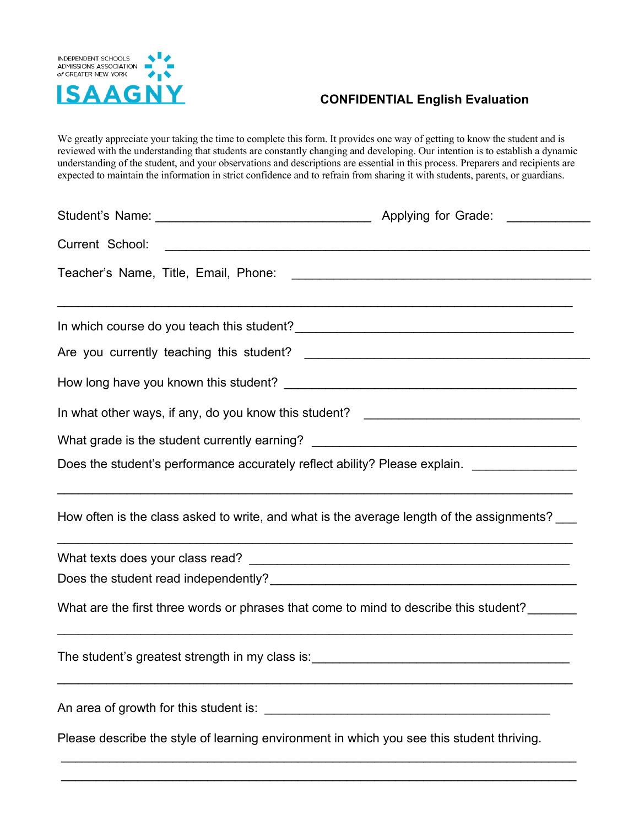

## **CONFIDENTIAL English Evaluation**

We greatly appreciate your taking the time to complete this form. It provides one way of getting to know the student and is reviewed with the understanding that students are constantly changing and developing. Our intention is to establish a dynamic understanding of the student, and your observations and descriptions are essential in this process. Preparers and recipients are expected to maintain the information in strict confidence and to refrain from sharing it with students, parents, or guardians.

| In what other ways, if any, do you know this student? ___________________________           |                                                                                  |  |  |  |  |  |  |
|---------------------------------------------------------------------------------------------|----------------------------------------------------------------------------------|--|--|--|--|--|--|
| What grade is the student currently earning? ___________________________________            |                                                                                  |  |  |  |  |  |  |
| Does the student's performance accurately reflect ability? Please explain. ________________ |                                                                                  |  |  |  |  |  |  |
| How often is the class asked to write, and what is the average length of the assignments?   | ,我们也不能在这里,我们的人们都会不能在这里,我们也不能不能不能不能不能不能不能不能不能不能。""我们的人们也不能不能不能不能不能不能不能不能不能不能不能不能不 |  |  |  |  |  |  |
|                                                                                             |                                                                                  |  |  |  |  |  |  |
|                                                                                             |                                                                                  |  |  |  |  |  |  |
| What are the first three words or phrases that come to mind to describe this student?       |                                                                                  |  |  |  |  |  |  |
|                                                                                             |                                                                                  |  |  |  |  |  |  |
|                                                                                             |                                                                                  |  |  |  |  |  |  |
| Please describe the style of learning environment in which you see this student thriving.   |                                                                                  |  |  |  |  |  |  |
|                                                                                             |                                                                                  |  |  |  |  |  |  |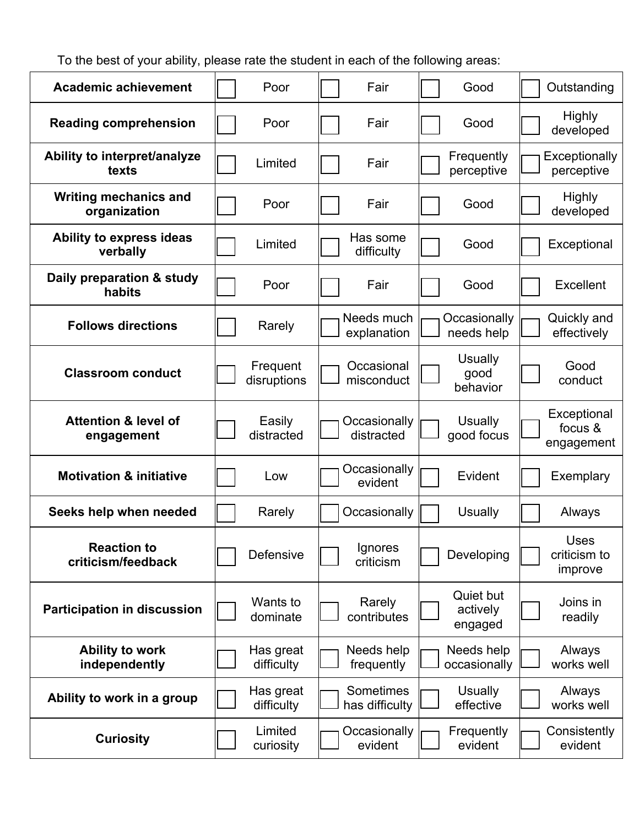To the best of your ability, please rate the student in each of the following areas:

| <b>Academic achievement</b>                   | Poor                    | Fair                               | Good                               | Outstanding                          |
|-----------------------------------------------|-------------------------|------------------------------------|------------------------------------|--------------------------------------|
| <b>Reading comprehension</b>                  | Poor                    | Fair                               | Good                               | <b>Highly</b><br>developed           |
| Ability to interpret/analyze<br>texts         | Limited                 | Fair                               | Frequently<br>perceptive           | Exceptionally<br>perceptive          |
| <b>Writing mechanics and</b><br>organization  | Poor                    | Fair                               | Good                               | <b>Highly</b><br>developed           |
| Ability to express ideas<br>verbally          | Limited                 | Has some<br>difficulty             | Good                               | Exceptional                          |
| Daily preparation & study<br>habits           | Poor                    | Fair                               | Good                               | Excellent                            |
| <b>Follows directions</b>                     | Rarely                  | Needs much<br>explanation          | Occasionally<br>needs help         | Quickly and<br>effectively           |
| <b>Classroom conduct</b>                      | Frequent<br>disruptions | Occasional<br>misconduct           | <b>Usually</b><br>good<br>behavior | Good<br>conduct                      |
| <b>Attention &amp; level of</b><br>engagement | Easily<br>distracted    | Occasionally<br>distracted         | <b>Usually</b><br>good focus       | Exceptional<br>focus &<br>engagement |
| <b>Motivation &amp; initiative</b>            | Low                     | Occasionally<br>evident            | Evident                            | Exemplary                            |
| Seeks help when needed                        | Rarely                  | Occasionally                       | <b>Usually</b>                     | Always                               |
| <b>Reaction to</b><br>criticism/feedback      | Defensive               | Ignores<br>criticism               | Developing                         | Uses<br>criticism to<br>improve      |
| <b>Participation in discussion</b>            | Wants to<br>dominate    | Rarely<br>contributes              | Quiet but<br>actively<br>engaged   | Joins in<br>readily                  |
| <b>Ability to work</b><br>independently       | Has great<br>difficulty | Needs help<br>frequently           | Needs help<br>occasionally         | Always<br>works well                 |
| Ability to work in a group                    | Has great<br>difficulty | <b>Sometimes</b><br>has difficulty | <b>Usually</b><br>effective        | Always<br>works well                 |
| <b>Curiosity</b>                              | Limited<br>curiosity    | Occasionally<br>evident            | Frequently<br>evident              | Consistently<br>evident              |